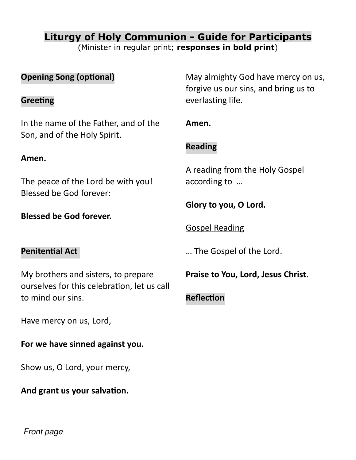# **Liturgy of Holy Communion - Guide for Participants**

(Minister in regular print; **responses in bold print**)

| <b>Opening Song (optional)</b><br>Greeting                                         | May almighty God have mercy on us,<br>forgive us our sins, and bring us to<br>everlasting life. |
|------------------------------------------------------------------------------------|-------------------------------------------------------------------------------------------------|
| In the name of the Father, and of the<br>Son, and of the Holy Spirit.              | Amen.<br><b>Reading</b>                                                                         |
| Amen.                                                                              | A reading from the Holy Gospel                                                                  |
| The peace of the Lord be with you!<br>Blessed be God forever:                      | according to<br>Glory to you, O Lord.                                                           |
| <b>Blessed be God forever.</b>                                                     | <b>Gospel Reading</b>                                                                           |
| <b>Penitential Act</b>                                                             | The Gospel of the Lord.                                                                         |
| My brothers and sisters, to prepare<br>ourselves for this celebration, let us call | Praise to You, Lord, Jesus Christ.                                                              |
| to mind our sins.                                                                  | <b>Reflection</b>                                                                               |
| Have mercy on us, Lord,<br>For we have sinned against you.                         |                                                                                                 |
|                                                                                    |                                                                                                 |

Show us, O Lord, your mercy,

# **And grant us your salvation.**